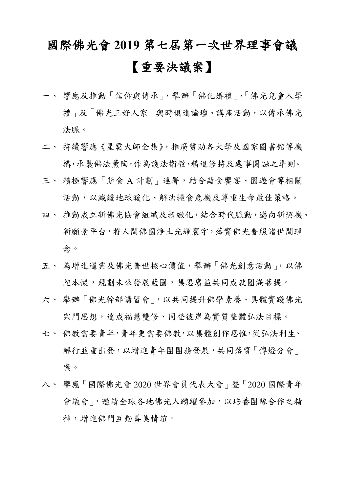## 國際佛光會 **2019** 第七屆第一次世界理事會議 【重要決議案】

- 一、 響應及推動「信仰與傳承」,舉辦「佛化婚禮」、「佛光兒童入學 禮」及「佛光三好人家」與時俱進論壇、講座活動,以傳承佛光 法脈。
- 二、 持續響應《星雲大師全集》,推廣贊助各大學及國家圖書館等機 構,承襲佛法薰陶,作為護法衛教、精進修持及處事圓融之準則。
- 三、 積極響應「 蔬食 A 計劃」連署, 結合蔬食饗宴、園遊會等相關 活動,以減緩地球暖化、解決糧食危機及尊重生命最佳策略。
- 四、推動成立新佛光協會組織及精緻化,結合時代脈動, 邁向新契機、 新願景平台,將人間佛國淨土光耀寰宇,落實佛光普照諸世間理 念。
- 五、為增進道業及佛光普世核心價值,舉辦「佛光創意活動」,以佛 陀本懷,規劃未來發展藍圖,集思廣益共同成就圓滿菩提。
- 六、 舉辦「佛光幹部講習會」,以共同提升佛學素養、具體實踐佛光 宗門思想,達成福慧雙修、同登彼岸為實質整體弘法目標。
- 七、 佛教需要青年,青年更需要佛教,以集體創作思惟,從弘法利生、 解行並重出發,以增進青年團團務發展,共同落實「傳燈分會」 案。
- 八、 響應「國際佛光會 2020 世界會員代表大會」暨「2020 國際青年 會議會」,邀請全球各地佛光人踴躍參加,以培養團隊合作之精 神,增進佛門互動善美情誼。